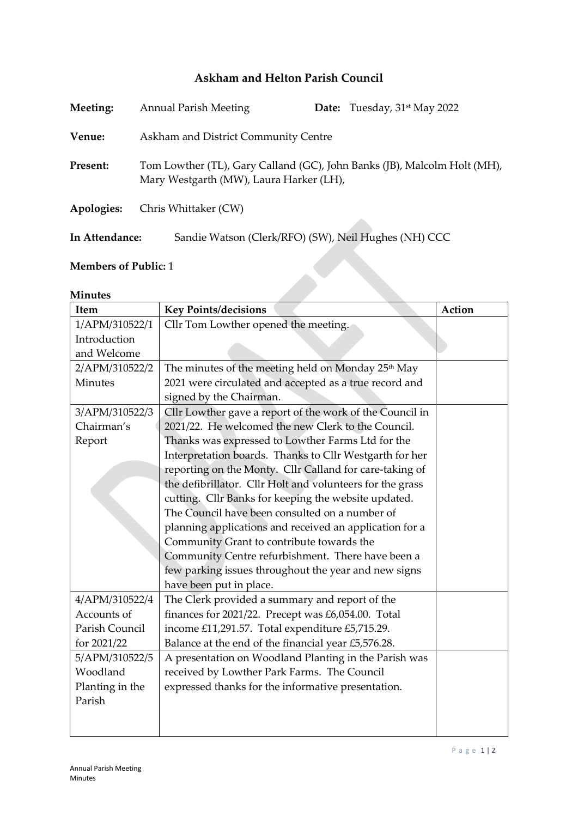## **Askham and Helton Parish Council**

| Meeting:       | <b>Annual Parish Meeting</b>                                                                                        |  | <b>Date:</b> Tuesday, $31$ <sup>st</sup> May 2022 |
|----------------|---------------------------------------------------------------------------------------------------------------------|--|---------------------------------------------------|
| Venue:         | Askham and District Community Centre                                                                                |  |                                                   |
| Present:       | Tom Lowther (TL), Gary Calland (GC), John Banks (JB), Malcolm Holt (MH),<br>Mary Westgarth (MW), Laura Harker (LH), |  |                                                   |
| Apologies:     | Chris Whittaker (CW)                                                                                                |  |                                                   |
| In Attendance: | Sandie Watson (Clerk/RFO) (SW), Neil Hughes (NH) CCC                                                                |  |                                                   |

## **Members of Public:** 1

## **Minutes**

| <b>Members of Public: 1</b> |                                                                |        |  |  |
|-----------------------------|----------------------------------------------------------------|--------|--|--|
| <b>Minutes</b>              |                                                                |        |  |  |
| Item                        | <b>Key Points/decisions</b>                                    | Action |  |  |
| 1/APM/310522/1              | Cllr Tom Lowther opened the meeting.                           |        |  |  |
| Introduction                |                                                                |        |  |  |
| and Welcome                 |                                                                |        |  |  |
| 2/APM/310522/2              | The minutes of the meeting held on Monday 25 <sup>th</sup> May |        |  |  |
| Minutes                     | 2021 were circulated and accepted as a true record and         |        |  |  |
|                             | signed by the Chairman.                                        |        |  |  |
| 3/APM/310522/3              | Cllr Lowther gave a report of the work of the Council in       |        |  |  |
| Chairman's                  | 2021/22. He welcomed the new Clerk to the Council.             |        |  |  |
| Report                      | Thanks was expressed to Lowther Farms Ltd for the              |        |  |  |
|                             | Interpretation boards. Thanks to Cllr Westgarth for her        |        |  |  |
|                             | reporting on the Monty. Cllr Calland for care-taking of        |        |  |  |
|                             | the defibrillator. Cllr Holt and volunteers for the grass      |        |  |  |
|                             | cutting. Cllr Banks for keeping the website updated.           |        |  |  |
|                             | The Council have been consulted on a number of                 |        |  |  |
|                             | planning applications and received an application for a        |        |  |  |
|                             | Community Grant to contribute towards the                      |        |  |  |
|                             | Community Centre refurbishment. There have been a              |        |  |  |
|                             | few parking issues throughout the year and new signs           |        |  |  |
|                             | have been put in place.                                        |        |  |  |
| 4/APM/310522/4              | The Clerk provided a summary and report of the                 |        |  |  |
| Accounts of                 | finances for 2021/22. Precept was £6,054.00. Total             |        |  |  |
| Parish Council              | income £11,291.57. Total expenditure £5,715.29.                |        |  |  |
| for 2021/22                 | Balance at the end of the financial year £5,576.28.            |        |  |  |
| 5/APM/310522/5              | A presentation on Woodland Planting in the Parish was          |        |  |  |
| Woodland                    | received by Lowther Park Farms. The Council                    |        |  |  |
| Planting in the             | expressed thanks for the informative presentation.             |        |  |  |
| Parish                      |                                                                |        |  |  |
|                             |                                                                |        |  |  |
|                             |                                                                |        |  |  |